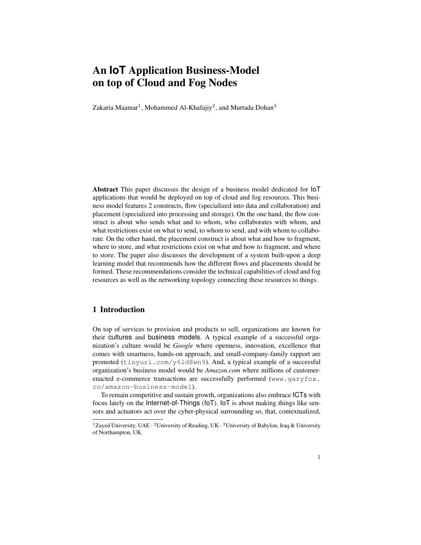# An **IoT** Application Business-Model on top of Cloud and Fog Nodes

Zakaria Maamar $^1$ , Mohammed Al-Khafajiy $^2$ , and Murtada Dohan $^3$ 

Abstract This paper discusses the design of a business model dedicated for IoT applications that would be deployed on top of cloud and fog resources. This business model features 2 constructs, flow (specialized into data and collaboration) and placement (specialized into processing and storage). On the one hand, the flow construct is about who sends what and to whom, who collaborates with whom, and what restrictions exist on what to send, to whom to send, and with whom to collaborate. On the other hand, the placement construct is about what and how to fragment, where to store, and what restrictions exist on what and how to fragment, and where to store. The paper also discusses the development of a system built-upon a deep learning model that recommends how the different flows and placements should be formed. These recommendations consider the technical capabilities of cloud and fog resources as well as the networking topology connecting these resources to things.

# 1 Introduction

On top of services to provision and products to sell, organizations are known for their cultures and business models. A typical example of a successful organization's culture would be *Google* where openness, innovation, excellence that comes with smartness, hands-on approach, and small-company-family rapport are promoted (tinyurl.com/y6ld8wn9). And, a typical example of a successful organization's business model would be *Amazon.com* where millions of customerenacted e-commerce transactions are successfully performed (www.garyfox. co/amazon-business-model).

To remain competitive and sustain growth, organizations also embrace ICTs with focus lately on the Internet-of-Things (IoT). IoT is about making things like sensors and actuators act over the cyber-physical surrounding so, that, contextualized,

<sup>&</sup>lt;sup>1</sup>Zayed University, UAE · <sup>2</sup>University of Reading, UK · <sup>3</sup>University of Babylon, Iraq & University of Northampton, UK.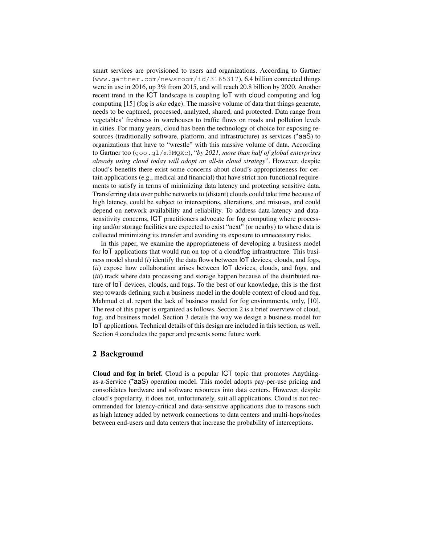smart services are provisioned to users and organizations. According to Gartner (www.gartner.com/newsroom/id/3165317), 6.4 billion connected things were in use in 2016, up 3% from 2015, and will reach 20.8 billion by 2020. Another recent trend in the ICT landscape is coupling IoT with cloud computing and fog computing [15] (fog is *aka* edge). The massive volume of data that things generate, needs to be captured, processed, analyzed, shared, and protected. Data range from vegetables' freshness in warehouses to traffic flows on roads and pollution levels in cities. For many years, cloud has been the technology of choice for exposing resources (traditionally software, platform, and infrastructure) as services (\*aaS) to organizations that have to "wrestle" with this massive volume of data. According to Gartner too (goo.gl/m9MQXc), "*by 2021, more than half of global enterprises already using cloud today will adopt an all-in cloud strategy*". However, despite cloud's benefits there exist some concerns about cloud's appropriateness for certain applications (e.g., medical and financial) that have strict non-functional requirements to satisfy in terms of minimizing data latency and protecting sensitive data. Transferring data over public networks to (distant) clouds could take time because of high latency, could be subject to interceptions, alterations, and misuses, and could depend on network availability and reliability. To address data-latency and datasensitivity concerns, ICT practitioners advocate for fog computing where processing and/or storage facilities are expected to exist "next" (or nearby) to where data is collected minimizing its transfer and avoiding its exposure to unnecessary risks.

In this paper, we examine the appropriateness of developing a business model for IoT applications that would run on top of a cloud/fog infrastructure. This business model should (*i*) identify the data flows between IoT devices, clouds, and fogs, (*ii*) expose how collaboration arises between IoT devices, clouds, and fogs, and (*iii*) track where data processing and storage happen because of the distributed nature of IoT devices, clouds, and fogs. To the best of our knowledge, this is the first step towards defining such a business model in the double context of cloud and fog. Mahmud et al. report the lack of business model for fog environments, only, [10]. The rest of this paper is organized as follows. Section 2 is a brief overview of cloud, fog, and business model. Section 3 details the way we design a business model for IoT applications. Technical details of this design are included in this section, as well. Section 4 concludes the paper and presents some future work.

## 2 Background

Cloud and fog in brief. Cloud is a popular ICT topic that promotes Anythingas-a-Service (\*aaS) operation model. This model adopts pay-per-use pricing and consolidates hardware and software resources into data centers. However, despite cloud's popularity, it does not, unfortunately, suit all applications. Cloud is not recommended for latency-critical and data-sensitive applications due to reasons such as high latency added by network connections to data centers and multi-hops/nodes between end-users and data centers that increase the probability of interceptions.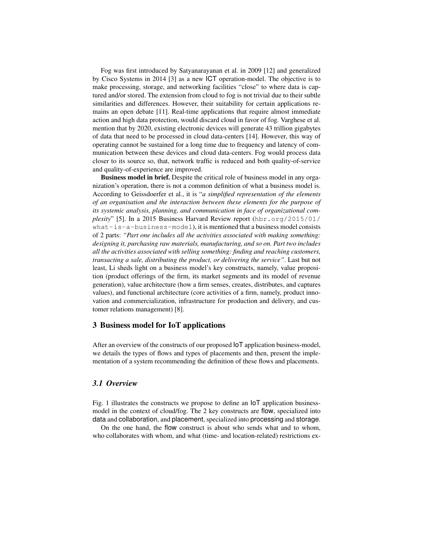Fog was first introduced by Satyanarayanan et al. in 2009 [12] and generalized by Cisco Systems in 2014 [3] as a new ICT operation-model. The objective is to make processing, storage, and networking facilities "close" to where data is captured and/or stored. The extension from cloud to fog is not trivial due to their subtle similarities and differences. However, their suitability for certain applications remains an open debate [11]. Real-time applications that require almost immediate action and high data protection, would discard cloud in favor of fog. Varghese et al. mention that by 2020, existing electronic devices will generate 43 trillion gigabytes of data that need to be processed in cloud data-centers [14]. However, this way of operating cannot be sustained for a long time due to frequency and latency of communication between these devices and cloud data-centers. Fog would process data closer to its source so, that, network traffic is reduced and both quality-of-service and quality-of-experience are improved.

Business model in brief. Despite the critical role of business model in any organization's operation, there is not a common definition of what a business model is. According to Geissdoerfer et al., it is "*a simplified representation of the elements of an organisation and the interaction between these elements for the purpose of its systemic analysis, planning, and communication in face of organizational complexity*" [5]. In a 2015 Business Harvard Review report (hbr.org/2015/01/  $what -is -a -busines-model)$ , it is mentioned that a business model consists of 2 parts: *"Part one includes all the activities associated with making something: designing it, purchasing raw materials, manufacturing, and so on. Part two includes all the activities associated with selling something: finding and reaching customers, transacting a sale, distributing the product, or delivering the service"*. Last but not least, Li sheds light on a business model's key constructs, namely, value proposition (product offerings of the firm, its market segments and its model of revenue generation), value architecture (how a firm senses, creates, distributes, and captures values), and functional architecture (core activities of a firm, namely, product innovation and commercialization, infrastructure for production and delivery, and customer relations management) [8].

## 3 Business model for IoT applications

After an overview of the constructs of our proposed IoT application business-model, we details the types of flows and types of placements and then, present the implementation of a system recommending the definition of these flows and placements.

## *3.1 Overview*

Fig. 1 illustrates the constructs we propose to define an IoT application businessmodel in the context of cloud/fog. The 2 key constructs are flow, specialized into data and collaboration, and placement, specialized into processing and storage.

On the one hand, the flow construct is about who sends what and to whom, who collaborates with whom, and what (time- and location-related) restrictions ex-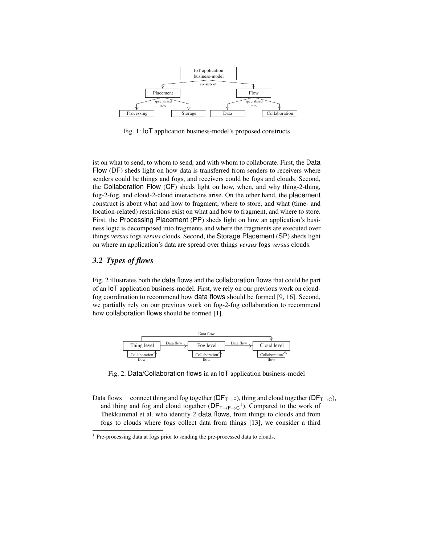

Fig. 1: IoT application business-model's proposed constructs

ist on what to send, to whom to send, and with whom to collaborate. First, the Data Flow (DF) sheds light on how data is transferred from senders to receivers where senders could be things and fogs, and receivers could be fogs and clouds. Second, the Collaboration Flow (CF) sheds light on how, when, and why thing-2-thing, fog-2-fog, and cloud-2-cloud interactions arise. On the other hand, the placement construct is about what and how to fragment, where to store, and what (time- and location-related) restrictions exist on what and how to fragment, and where to store. First, the Processing Placement (PP) sheds light on how an application's business logic is decomposed into fragments and where the fragments are executed over things *versus* fogs *versus* clouds. Second, the Storage Placement (SP) sheds light on where an application's data are spread over things *versus* fogs *versus* clouds.

# *3.2 Types of flows*

Fig. 2 illustrates both the data flows and the collaboration flows that could be part of an IoT application business-model. First, we rely on our previous work on cloudfog coordination to recommend how data flows should be formed [9, 16]. Second, we partially rely on our previous work on fog-2-fog collaboration to recommend how collaboration flows should be formed [1].



Fig. 2: Data/Collaboration flows in an IoT application business-model

Data flows connect thing and fog together ( $DF_{T\rightarrow F}$ ), thing and cloud together ( $DF_{T\rightarrow C}$ ), and thing and fog and cloud together  $(DF_{T\rightarrow F\rightarrow C}^{1})$ . Compared to the work of Thekkummal et al. who identify 2 data flows, from things to clouds and from fogs to clouds where fogs collect data from things [13], we consider a third

<sup>&</sup>lt;sup>1</sup> Pre-processing data at fogs prior to sending the pre-processed data to clouds.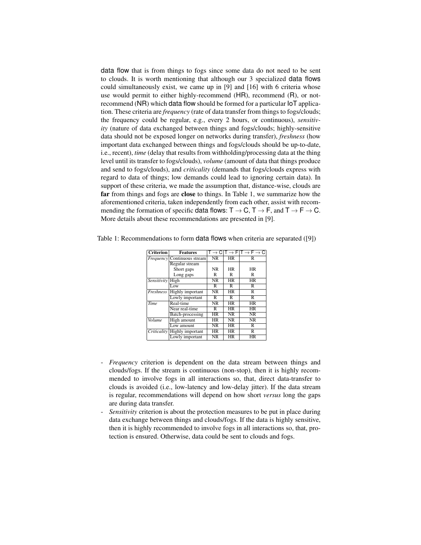data flow that is from things to fogs since some data do not need to be sent to clouds. It is worth mentioning that although our 3 specialized data flows could simultaneously exist, we came up in [9] and [16] with 6 criteria whose use would permit to either highly-recommend (HR), recommend (R), or notrecommend (NR) which data flow should be formed for a particular IoT application. These criteria are *frequency* (rate of data transfer from things to fogs/clouds; the frequency could be regular, e.g., every 2 hours, or continuous), *sensitivity* (nature of data exchanged between things and fogs/clouds; highly-sensitive data should not be exposed longer on networks during transfer), *freshness* (how important data exchanged between things and fogs/clouds should be up-to-date, i.e., recent), *time* (delay that results from withholding/processing data at the thing level until its transfer to fogs/clouds), *volume* (amount of data that things produce and send to fogs/clouds), and *criticality* (demands that fogs/clouds express with regard to data of things; low demands could lead to ignoring certain data). In support of these criteria, we made the assumption that, distance-wise, clouds are far from things and fogs are close to things. In Table 1, we summarize how the aforementioned criteria, taken independently from each other, assist with recommending the formation of specific **data flows:**  $T \rightarrow C$ ,  $T \rightarrow F$ , and  $T \rightarrow F \rightarrow C$ . More details about these recommendations are presented in [9].

| <b>Criterion</b> | <b>Features</b>               | $\rightarrow$ C         |                         | $\rightarrow$ FIT $\rightarrow$ F $\rightarrow$ C |
|------------------|-------------------------------|-------------------------|-------------------------|---------------------------------------------------|
|                  | Frequency   Continuous stream | $\overline{\text{NR}}$  | HR                      | R                                                 |
|                  | Regular stream                |                         |                         |                                                   |
|                  | Short gaps                    | <b>NR</b>               | <b>HR</b>               | <b>HR</b>                                         |
|                  | Long gaps                     | R                       | R                       | R                                                 |
| Sensitivity High |                               | NR.                     | HR                      | <b>HR</b>                                         |
|                  | Low.                          | $\overline{\mathsf{R}}$ | $\overline{\mathsf{R}}$ | $\overline{\mathbb{R}}$                           |
| Freshness        | Highly important              | <b>NR</b>               | <b>HR</b>               | R                                                 |
|                  | Lowly important               | R                       | R                       | R                                                 |
| <b>Time</b>      | Real-time                     | $\overline{\text{NR}}$  | HR                      | HR                                                |
|                  | Near real-time                | R                       | HR                      | HR                                                |
|                  | Batch-processing              | HR                      | NR                      | NR                                                |
| Volume           | High amount                   | <b>HR</b>               | <b>NR</b>               | NR.                                               |
|                  | Low amount                    | <b>NR</b>               | HR                      | $\overline{\mathsf{R}}$                           |
|                  | Criticality Highly important  | HR                      | HR                      | R                                                 |
|                  | Lowly important               | NR                      | HR                      | HR                                                |

Table 1: Recommendations to form data flows when criteria are separated ([9])

- *Frequency* criterion is dependent on the data stream between things and clouds/fogs. If the stream is continuous (non-stop), then it is highly recommended to involve fogs in all interactions so, that, direct data-transfer to clouds is avoided (i.e., low-latency and low-delay jitter). If the data stream is regular, recommendations will depend on how short *versus* long the gaps are during data transfer.
- *Sensitivity* criterion is about the protection measures to be put in place during data exchange between things and clouds/fogs. If the data is highly sensitive, then it is highly recommended to involve fogs in all interactions so, that, protection is ensured. Otherwise, data could be sent to clouds and fogs.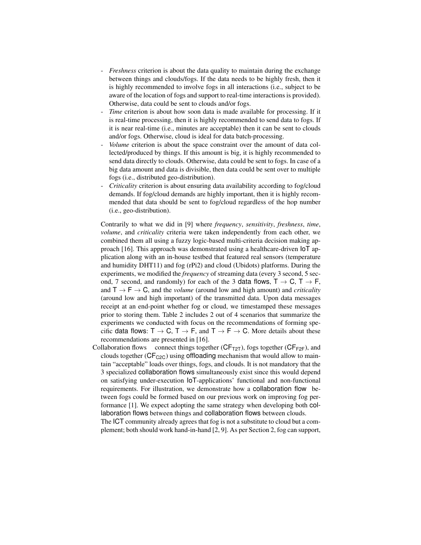- *Freshness* criterion is about the data quality to maintain during the exchange between things and clouds/fogs. If the data needs to be highly fresh, then it is highly recommended to involve fogs in all interactions (i.e., subject to be aware of the location of fogs and support to real-time interactions is provided). Otherwise, data could be sent to clouds and/or fogs.
- *Time* criterion is about how soon data is made available for processing. If it is real-time processing, then it is highly recommended to send data to fogs. If it is near real-time (i.e., minutes are acceptable) then it can be sent to clouds and/or fogs. Otherwise, cloud is ideal for data batch-processing.
- *Volume* criterion is about the space constraint over the amount of data collected/produced by things. If this amount is big, it is highly recommended to send data directly to clouds. Otherwise, data could be sent to fogs. In case of a big data amount and data is divisible, then data could be sent over to multiple fogs (i.e., distributed geo-distribution).
- *Criticality* criterion is about ensuring data availability according to fog/cloud demands. If fog/cloud demands are highly important, then it is highly recommended that data should be sent to fog/cloud regardless of the hop number (i.e., geo-distribution).

Contrarily to what we did in [9] where *frequency*, *sensitivity*, *freshness*, *time*, *volume*, and *criticality* criteria were taken independently from each other, we combined them all using a fuzzy logic-based multi-criteria decision making approach [16]. This approach was demonstrated using a healthcare-driven IoT application along with an in-house testbed that featured real sensors (temperature and humidity DHT11) and fog (rPi2) and cloud (Ubidots) platforms. During the experiments, we modified the *frequency* of streaming data (every 3 second, 5 second, 7 second, and randomly) for each of the 3 data flows,  $T \rightarrow C$ ,  $T \rightarrow F$ , and  $T \rightarrow F \rightarrow C$ , and the *volume* (around low and high amount) and *criticality* (around low and high important) of the transmitted data. Upon data messages receipt at an end-point whether fog or cloud, we timestamped these messages prior to storing them. Table 2 includes 2 out of 4 scenarios that summarize the experiments we conducted with focus on the recommendations of forming specific data flows:  $T \rightarrow C$ ,  $T \rightarrow F$ , and  $T \rightarrow F \rightarrow C$ . More details about these recommendations are presented in [16].

Collaboration flows connect things together ( $CF_{T2T}$ ), fogs together ( $CF_{F2F}$ ), and clouds together  $(CF_{C2C})$  using offloading mechanism that would allow to maintain "acceptable" loads over things, fogs, and clouds. It is not mandatory that the 3 specialized collaboration flows simultaneously exist since this would depend on satisfying under-execution IoT-applications' functional and non-functional requirements. For illustration, we demonstrate how a collaboration flow between fogs could be formed based on our previous work on improving fog performance [1]. We expect adopting the same strategy when developing both collaboration flows between things and collaboration flows between clouds.

The ICT community already agrees that fog is not a substitute to cloud but a complement; both should work hand-in-hand [2, 9]. As per Section 2, fog can support,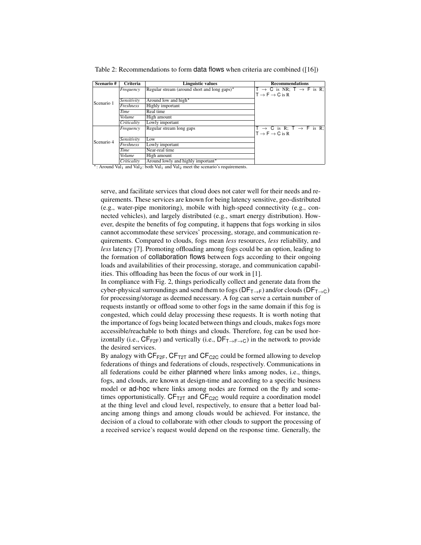| Scenario#  | <b>Criteria</b> | <b>Linguistic values</b>                                 | <b>Recommendations</b>                           |
|------------|-----------------|----------------------------------------------------------|--------------------------------------------------|
| Scenario 1 | Frequency       | Regular stream (around short and long gaps) <sup>*</sup> | $T \rightarrow C$ is NR; $T \rightarrow F$ is R; |
|            |                 |                                                          | $T \rightarrow F \rightarrow C$ is R             |
|            | Sensitivity     | Around low and high <sup>*</sup>                         |                                                  |
|            | Freshness       | Highly important                                         |                                                  |
|            | <b>Time</b>     | Real time                                                |                                                  |
|            | <b>Volume</b>   | High amount                                              |                                                  |
|            | Criticality     | Lowly important                                          |                                                  |
| Scenario 4 | Frequency       | Regular stream long gaps                                 | $T \rightarrow C$ is R; $T \rightarrow F$ is R;  |
|            |                 |                                                          | $T \rightarrow F \rightarrow C$ is R             |
|            | Sensitivity     | Low                                                      |                                                  |
|            | Freshness       | Lowly important                                          |                                                  |
|            | Time            | Near-real time                                           |                                                  |
|            | Volume          | High amount                                              |                                                  |
|            | Criticality     | Around lowly and highly important <sup>*</sup>           |                                                  |

Table 2: Recommendations to form data flows when criteria are combined ([16])

\*: Around Val<sub>1</sub> and Val<sub>2</sub>: both Val<sub>1</sub> and Val<sub>2</sub> meet the scenario's requirements.

serve, and facilitate services that cloud does not cater well for their needs and requirements. These services are known for being latency sensitive, geo-distributed (e.g., water-pipe monitoring), mobile with high-speed connectivity (e.g., connected vehicles), and largely distributed (e.g., smart energy distribution). However, despite the benefits of fog computing, it happens that fogs working in silos cannot accommodate these services' processing, storage, and communication requirements. Compared to clouds, fogs mean *less* resources, *less* reliability, and *less* latency [7]. Promoting offloading among fogs could be an option, leading to the formation of collaboration flows between fogs according to their ongoing loads and availabilities of their processing, storage, and communication capabilities. This offloading has been the focus of our work in [1].

In compliance with Fig. 2, things periodically collect and generate data from the cyber-physical surroundings and send them to fogs ( $DF_{T\rightarrow F}$ ) and/or clouds ( $DF_{T\rightarrow C}$ ) for processing/storage as deemed necessary. A fog can serve a certain number of requests instantly or offload some to other fogs in the same domain if this fog is congested, which could delay processing these requests. It is worth noting that the importance of fogs being located between things and clouds, makes fogs more accessible/reachable to both things and clouds. Therefore, fog can be used horizontally (i.e.,  $CF_{F2F}$ ) and vertically (i.e.,  $DF_{T\rightarrow F\rightarrow C}$ ) in the network to provide the desired services.

By analogy with  $CF_{F2F}$ ,  $CF_{T2T}$  and  $CF_{C2C}$  could be formed allowing to develop federations of things and federations of clouds, respectively. Communications in all federations could be either planned where links among nodes, i.e., things, fogs, and clouds, are known at design-time and according to a specific business model or ad-hoc where links among nodes are formed on the fly and sometimes opportunistically.  $CF_{T2T}$  and  $CF_{C2C}$  would require a coordination model at the thing level and cloud level, respectively, to ensure that a better load balancing among things and among clouds would be achieved. For instance, the decision of a cloud to collaborate with other clouds to support the processing of a received service's request would depend on the response time. Generally, the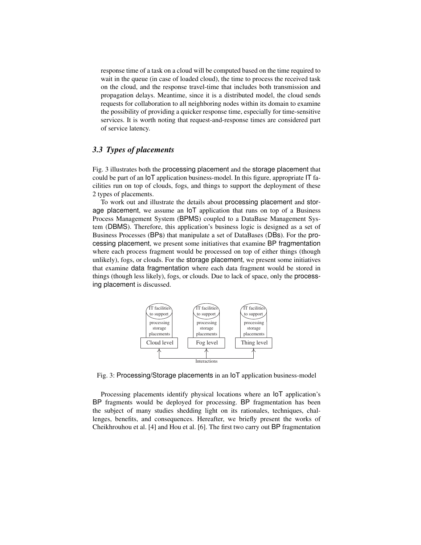response time of a task on a cloud will be computed based on the time required to wait in the queue (in case of loaded cloud), the time to process the received task on the cloud, and the response travel-time that includes both transmission and propagation delays. Meantime, since it is a distributed model, the cloud sends requests for collaboration to all neighboring nodes within its domain to examine the possibility of providing a quicker response time, especially for time-sensitive services. It is worth noting that request-and-response times are considered part of service latency.

## *3.3 Types of placements*

Fig. 3 illustrates both the processing placement and the storage placement that could be part of an IoT application business-model. In this figure, appropriate IT facilities run on top of clouds, fogs, and things to support the deployment of these 2 types of placements.

To work out and illustrate the details about processing placement and storage placement, we assume an IoT application that runs on top of a Business Process Management System (BPMS) coupled to a DataBase Management System (DBMS). Therefore, this application's business logic is designed as a set of Business Processes (BPs) that manipulate a set of DataBases (DBs). For the processing placement, we present some initiatives that examine BP fragmentation where each process fragment would be processed on top of either things (though unlikely), fogs, or clouds. For the storage placement, we present some initiatives that examine data fragmentation where each data fragment would be stored in things (though less likely), fogs, or clouds. Due to lack of space, only the processing placement is discussed.



Fig. 3: Processing/Storage placements in an IoT application business-model

Processing placements identify physical locations where an IoT application's BP fragments would be deployed for processing. BP fragmentation has been the subject of many studies shedding light on its rationales, techniques, challenges, benefits, and consequences. Hereafter, we briefly present the works of Cheikhrouhou et al. [4] and Hou et al. [6]. The first two carry out BP fragmentation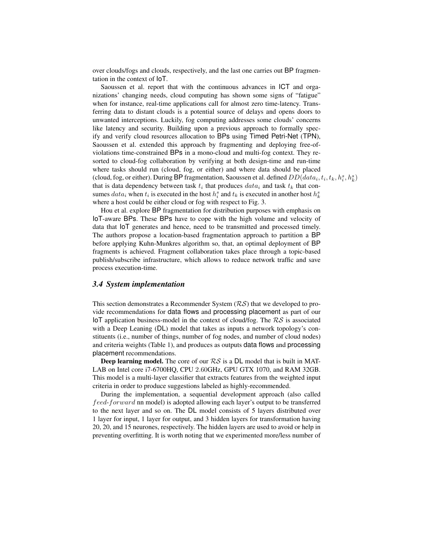over clouds/fogs and clouds, respectively, and the last one carries out BP fragmentation in the context of IoT.

Saoussen et al. report that with the continuous advances in ICT and organizations' changing needs, cloud computing has shown some signs of "fatigue" when for instance, real-time applications call for almost zero time-latency. Transferring data to distant clouds is a potential source of delays and opens doors to unwanted interceptions. Luckily, fog computing addresses some clouds' concerns like latency and security. Building upon a previous approach to formally specify and verify cloud resources allocation to BPs using Timed Petri-Net (TPN), Saoussen et al. extended this approach by fragmenting and deploying free-ofviolations time-constrained BPs in a mono-cloud and multi-fog context. They resorted to cloud-fog collaboration by verifying at both design-time and run-time where tasks should run (cloud, fog, or either) and where data should be placed (cloud, fog, or either). During BP fragmentation, Saoussen et al. defined  $DD(data_i, t_i, t_k, h_i^s, h_k^s)$ that is data dependency between task  $t_i$  that produces  $data_i$  and task  $t_k$  that consumes  $data_i$  when  $t_i$  is executed in the host  $h_i^s$  and  $t_k$  is executed in another host  $h_k^s$ where a host could be either cloud or fog with respect to Fig. 3.

Hou et al. explore BP fragmentation for distribution purposes with emphasis on IoT-aware BPs. These BPs have to cope with the high volume and velocity of data that IoT generates and hence, need to be transmitted and processed timely. The authors propose a location-based fragmentation approach to partition a BP before applying Kuhn-Munkres algorithm so, that, an optimal deployment of BP fragments is achieved. Fragment collaboration takes place through a topic-based publish/subscribe infrastructure, which allows to reduce network traffic and save process execution-time.

## *3.4 System implementation*

This section demonstrates a Recommender System  $(RS)$  that we developed to provide recommendations for data flows and processing placement as part of our IoT application business-model in the context of cloud/fog. The  $RS$  is associated with a Deep Leaning (DL) model that takes as inputs a network topology's constituents (i.e., number of things, number of fog nodes, and number of cloud nodes) and criteria weights (Table 1), and produces as outputs data flows and processing placement recommendations.

**Deep learning model.** The core of our  $RS$  is a  $DL$  model that is built in MAT-LAB on Intel core i7-6700HQ, CPU 2.60GHz, GPU GTX 1070, and RAM 32GB. This model is a multi-layer classifier that extracts features from the weighted input criteria in order to produce suggestions labeled as highly-recommended.

During the implementation, a sequential development approach (also called feed-forward nn model) is adopted allowing each layer's output to be transferred to the next layer and so on. The DL model consists of 5 layers distributed over 1 layer for input, 1 layer for output, and 3 hidden layers for transformation having 20, 20, and 15 neurones, respectively. The hidden layers are used to avoid or help in preventing overfitting. It is worth noting that we experimented more/less number of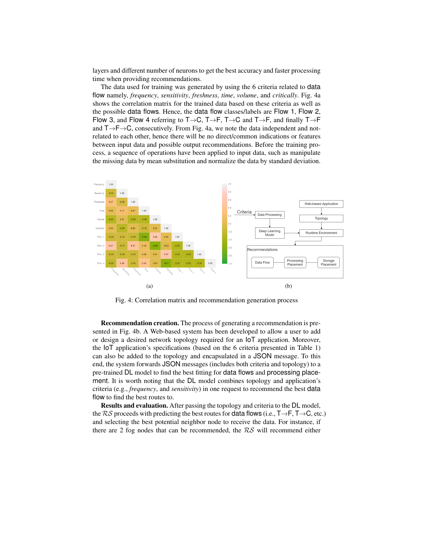layers and different number of neurons to get the best accuracy and faster processing time when providing recommendations.

The data used for training was generated by using the 6 criteria related to data flow namely, *frequency*, *sensitivity*, *freshness*, *time*, *volume*, and *critically*. Fig. 4a shows the correlation matrix for the trained data based on these criteria as well as the possible data flows. Hence, the data flow classes/labels are Flow 1, Flow 2, Flow 3, and Flow 4 referring to  $T\rightarrow C$ ,  $T\rightarrow F$ ,  $T\rightarrow C$  and  $T\rightarrow F$ , and finally  $T\rightarrow F$ and T→F→C, consecutively. From Fig. 4a, we note the data independent and notrelated to each other, hence there will be no direct/common indications or features between input data and possible output recommendations. Before the training process, a sequence of operations have been applied to input data, such as manipulate the missing data by mean substitution and normalize the data by standard deviation.



Fig. 4: Correlation matrix and recommendation generation process

Recommendation creation. The process of generating a recommendation is presented in Fig. 4b. A Web-based system has been developed to allow a user to add or design a desired network topology required for an IoT application. Moreover, the IoT application's specifications (based on the 6 criteria presented in Table 1) can also be added to the topology and encapsulated in a JSON message. To this end, the system forwards JSON messages (includes both criteria and topology) to a pre-trained DL model to find the best fitting for data flows and processing placement. It is worth noting that the DL model combines topology and application's criteria (e.g., *frequency*, and *sensitivity*) in one request to recommend the best data flow to find the best routes to.

Results and evaluation. After passing the topology and criteria to the DL model, the RS proceeds with predicting the best routes for **data flows** (i.e.,  $T\rightarrow F$ ,  $T\rightarrow C$ , etc.) and selecting the best potential neighbor node to receive the data. For instance, if there are 2 fog nodes that can be recommended, the RS will recommend either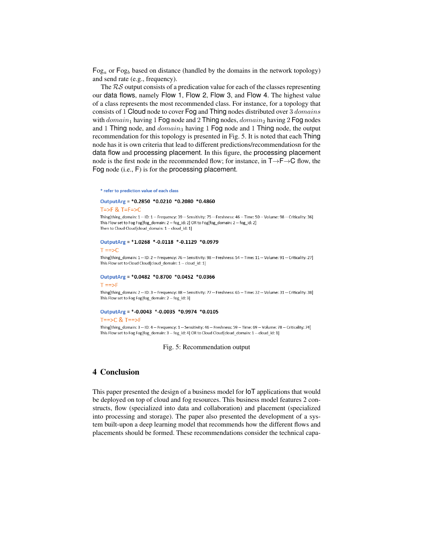$Fog<sub>a</sub>$  or  $Fog<sub>b</sub>$  based on distance (handled by the domains in the network topology) and send rate (e.g., frequency).

The  $RS$  output consists of a predication value for each of the classes representing our data flows, namely Flow 1, Flow 2, Flow 3, and Flow 4. The highest value of a class represents the most recommended class. For instance, for a topology that consists of 1 Cloud node to cover Fog and Thing nodes distributed over 3 domains with  $domain_1$  having 1 Fog node and 2 Thing nodes,  $domain_2$  having 2 Fog nodes and 1 Thing node, and  $domain_3$  having 1 Fog node and 1 Thing node, the output recommendation for this topology is presented in Fig. 5. It is noted that each Thing node has it is own criteria that lead to different predictions/recommendatiosn for the data flow and processing placement. In this figure, the processing placement node is the first node in the recommended flow; for instance, in  $T \rightarrow F \rightarrow C$  flow, the Fog node (i.e., F) is for the processing placement.

#### \* refer to prediction value of each class

### OutputArg = \*0.2850 \*0.0210 \*0.2080 \*0.4860

 $T = >F 8 T = F = >C$ 

Thing[thing\_domain: 1 -- ID: 1 -- Frequency: 39 -- Sensitivity: 75 -- Freshness: 46 -- Time: 50 -- Volume: 98 -- Criticality: 36] This Flow set to Fog Fog[fog\_domain: 2 -- fog\_id: 2] OR to Fog[fog\_domain: 2 -- fog\_id: 2] Then to Cloud Cloud[cloud\_domain: 1 -- cloud\_id: 1]

#### OutputArg = \*1.0268 \*-0.0118 \*-0.1129 \*0.0979

#### $T = S$

Thing[thing\_domain: 1 -- ID: 2 -- Frequency: 76 -- Sensitivity: 98 -- Freshness: 54 -- Time: 11 -- Volume: 91 -- Criticality: 27] This Flow set to Cloud Cloud[cloud\_domain: 1 -- cloud\_id: 1]

### OutputArg = \*0.0482 \*0.8700 \*0.0452 \*0.0366

#### $T = SF$

Thing[thing\_domain: 2 -- ID: 3 -- Frequency: 88 -- Sensitivity: 77 -- Freshness: 65 -- Time: 32 -- Volume: 31 -- Criticality: 38] This Flow set to Fog Fog[fog\_domain: 2 -- fog\_id: 3]

#### OutputArg =  $*$ -0.0043  $*$ -0.0035  $*$ 0.9974  $*$ 0.0105

### $T = >C$  &  $T = >F$

Thing[thing\_domain: 3 -- ID: 4 -- Frequency: 1 -- Sensitivity: 46 -- Freshness: 59 -- Time: 69 -- Volume: 78 -- Criticality: 74] This Flow set to Fog Fog[fog\_domain: 3 -- fog\_id: 4] OR to Cloud Cloud[cloud\_domain: 1 -- cloud\_id: 1]

Fig. 5: Recommendation output

## 4 Conclusion

This paper presented the design of a business model for IoT applications that would be deployed on top of cloud and fog resources. This business model features 2 constructs, flow (specialized into data and collaboration) and placement (specialized into processing and storage). The paper also presented the development of a system built-upon a deep learning model that recommends how the different flows and placements should be formed. These recommendations consider the technical capa